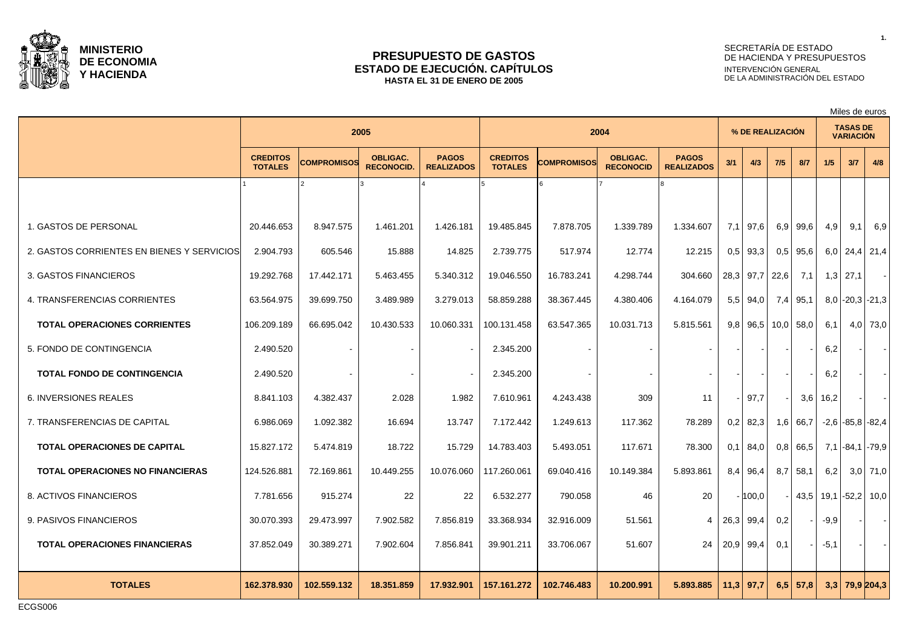

#### **PRESUPUESTO DE GASTOS ESTADO DE EJECUCIÓN. CAPÍTULOS HASTA EL 31 DE ENERO DE 2005**

# SECRETARÍA DE ESTADO DE HACIENDA Y PRESUPUESTOS INTERVENCIÓN GENERAL DE LA ADMINISTRACIÓN DEL ESTADO

Miles de euros

|                                            | 2005                              |             |                                      |                                   |                                   | 2004        |                                     |                                   |     | % DE REALIZACIÓN     |            |              | <b>TASAS DE</b><br><b>VARIACIÓN</b> |                        |              |
|--------------------------------------------|-----------------------------------|-------------|--------------------------------------|-----------------------------------|-----------------------------------|-------------|-------------------------------------|-----------------------------------|-----|----------------------|------------|--------------|-------------------------------------|------------------------|--------------|
|                                            | <b>CREDITOS</b><br><b>TOTALES</b> | COMPROMISOS | <b>OBLIGAC.</b><br><b>RECONOCID.</b> | <b>PAGOS</b><br><b>REALIZADOS</b> | <b>CREDITOS</b><br><b>TOTALES</b> | COMPROMISOS | <b>OBLIGAC.</b><br><b>RECONOCID</b> | <b>PAGOS</b><br><b>REALIZADOS</b> | 3/1 | 4/3                  | 7/5        | 8/7          | 1/5                                 | 3/7                    | 4/8          |
|                                            |                                   |             |                                      |                                   |                                   |             |                                     |                                   |     |                      |            |              |                                     |                        |              |
| 1. GASTOS DE PERSONAL                      | 20.446.653                        | 8.947.575   | 1.461.201                            | 1.426.181                         | 19.485.845                        | 7.878.705   | 1.339.789                           | 1.334.607                         | 7,1 | 97,6                 | $6.9 \mid$ | 99,6         | 4,9                                 | 9,1                    | 6,9          |
| 2. GASTOS CORRIENTES EN BIENES Y SERVICIOS | 2.904.793                         | 605.546     | 15.888                               | 14.825                            | 2.739.775                         | 517.974     | 12.774                              | 12.215                            | 0.5 | 93.3                 |            | $0.5$   95.6 |                                     | $6,0$   24,4   21,4    |              |
| 3. GASTOS FINANCIEROS                      | 19.292.768                        | 17.442.171  | 5.463.455                            | 5.340.312                         | 19.046.550                        | 16.783.241  | 4.298.744                           | 304.660                           |     | $28,3$ 97,7          | 22,6       | 7,1          |                                     | $1,3$ 27,1             | $\sim$       |
| 4. TRANSFERENCIAS CORRIENTES               | 63.564.975                        | 39.699.750  | 3.489.989                            | 3.279.013                         | 58.859.288                        | 38.367.445  | 4.380.406                           | 4.164.079                         |     | $5.5$   94.0         |            | $7,4$ 95,1   |                                     | $8,0$ -20,3 - 21,3     |              |
| <b>TOTAL OPERACIONES CORRIENTES</b>        | 106.209.189                       | 66.695.042  | 10.430.533                           | 10.060.331                        | 100.131.458                       | 63.547.365  | 10.031.713                          | 5.815.561                         |     | $9,8$ 96,5 10,0 58,0 |            |              | 6.1                                 |                        | $4,0$   73,0 |
| 5. FONDO DE CONTINGENCIA                   | 2.490.520                         |             |                                      |                                   | 2.345.200                         |             |                                     |                                   |     |                      |            |              | 6,2                                 |                        | $\sim$       |
| <b>TOTAL FONDO DE CONTINGENCIA</b>         | 2.490.520                         |             |                                      |                                   | 2.345.200                         |             |                                     |                                   |     |                      |            |              | 6,2                                 |                        | $\sim$       |
| 6. INVERSIONES REALES                      | 8.841.103                         | 4.382.437   | 2.028                                | 1.982                             | 7.610.961                         | 4.243.438   | 309                                 | 11                                |     | 97,7                 |            | 3,6          | 16,2                                |                        | $\sim$       |
| 7. TRANSFERENCIAS DE CAPITAL               | 6.986.069                         | 1.092.382   | 16.694                               | 13.747                            | 7.172.442                         | 1.249.613   | 117.362                             | 78.289                            |     | $0.2$ 82.3           |            | $1,6$ 66,7   |                                     | $-2.6$ $-85.8$ $-82.4$ |              |
| <b>TOTAL OPERACIONES DE CAPITAL</b>        | 15.827.172                        | 5.474.819   | 18.722                               | 15.729                            | 14.783.403                        | 5.493.051   | 117.671                             | 78.300                            |     | $0,1$ 84,0           |            | $0.8$ 66.5   |                                     | 7,1 -84,1 -79,9        |              |
| TOTAL OPERACIONES NO FINANCIERAS           | 124.526.881                       | 72.169.861  | 10.449.255                           | 10.076.060                        | 117.260.061                       | 69.040.416  | 10.149.384                          | 5.893.861                         |     | $8,4$ 96,4           |            | $8,7$ 58,1   | 6,2                                 |                        | $3,0$ 71,0   |
| 8. ACTIVOS FINANCIEROS                     | 7.781.656                         | 915.274     | 22                                   | 22                                | 6.532.277                         | 790.058     | 46                                  | 20                                |     | $-100,0$             |            |              |                                     | 43,5 19,1 -52,2 10,0   |              |
| 9. PASIVOS FINANCIEROS                     | 30.070.393                        | 29.473.997  | 7.902.582                            | 7.856.819                         | 33.368.934                        | 32.916.009  | 51.561                              | 4                                 |     | 26,3 99,4            | 0,2        |              | $-9,9$                              |                        | $\sim$       |
| <b>TOTAL OPERACIONES FINANCIERAS</b>       | 37.852.049                        | 30.389.271  | 7.902.604                            | 7.856.841                         | 39.901.211                        | 33.706.067  | 51.607                              | 24                                |     | $20,9$ 99,4          | 0,1        |              | $-5,1$                              |                        |              |
| <b>TOTALES</b>                             | 162.378.930                       | 102.559.132 | 18.351.859                           | 17.932.901                        | 157.161.272                       | 102.746.483 | 10.200.991                          | 5.893.885                         |     | $11,3$ 97,7          |            | $6,5$ 57,8   |                                     | $3,3$ 79,9 204,3       |              |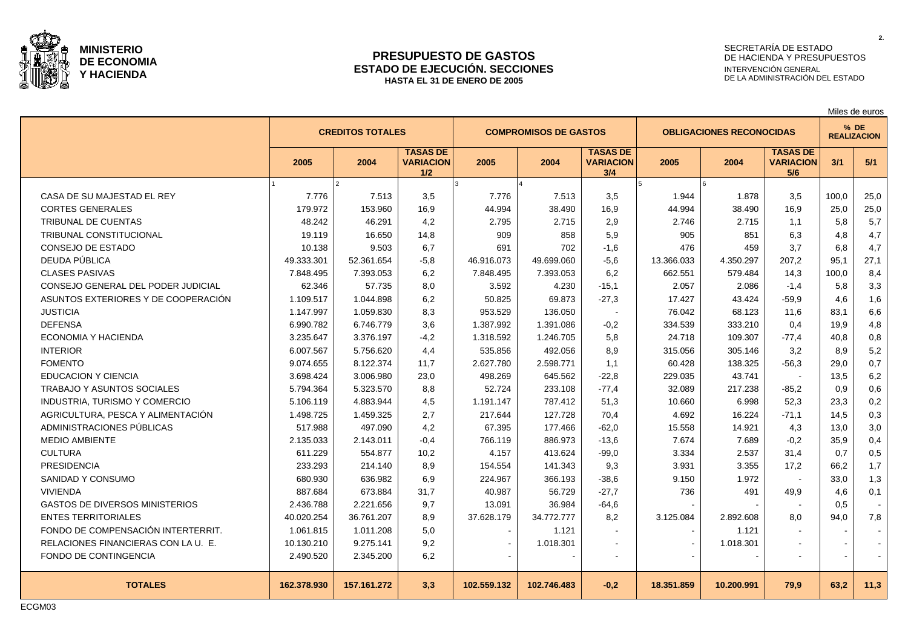

#### **PRESUPUESTO DE GASTOS ESTADO DE EJECUCIÓN. SECCIONES HASTA EL 31 DE ENERO DE 2005**

# SECRETARÍA DE ESTADO DE HACIENDA Y PRESUPUESTOS INTERVENCIÓN GENERAL DE LA ADMINISTRACIÓN DEL ESTADO

**2.**

|                                       |             |                         |                                            |             |                              |                                            |                                 |            |                                            | Miles de euros |                              |  |
|---------------------------------------|-------------|-------------------------|--------------------------------------------|-------------|------------------------------|--------------------------------------------|---------------------------------|------------|--------------------------------------------|----------------|------------------------------|--|
|                                       |             | <b>CREDITOS TOTALES</b> |                                            |             | <b>COMPROMISOS DE GASTOS</b> |                                            | <b>OBLIGACIONES RECONOCIDAS</b> |            |                                            |                | $%$ DE<br><b>REALIZACION</b> |  |
|                                       | 2005        | 2004                    | <b>TASAS DE</b><br><b>VARIACION</b><br>1/2 | 2005        | 2004                         | <b>TASAS DE</b><br><b>VARIACION</b><br>3/4 | 2005                            | 2004       | <b>TASAS DE</b><br><b>VARIACION</b><br>5/6 | 3/1            | 5/1                          |  |
|                                       |             | $\mathcal{P}$           |                                            |             |                              |                                            |                                 |            |                                            |                |                              |  |
| CASA DE SU MAJESTAD EL REY            | 7.776       | 7.513                   | 3,5                                        | 7.776       | 7.513                        | 3,5                                        | 1.944                           | 1.878      | 3,5                                        | 100.0          | 25,0                         |  |
| <b>CORTES GENERALES</b>               | 179.972     | 153.960                 | 16.9                                       | 44.994      | 38.490                       | 16.9                                       | 44.994                          | 38.490     | 16.9                                       | 25,0           | 25,0                         |  |
| <b>TRIBUNAL DE CUENTAS</b>            | 48.242      | 46.291                  | 4,2                                        | 2.795       | 2.715                        | 2,9                                        | 2.746                           | 2.715      | 1,1                                        | 5,8            | 5,7                          |  |
| <b>TRIBUNAL CONSTITUCIONAL</b>        | 19.119      | 16.650                  | 14,8                                       | 909         | 858                          | 5,9                                        | 905                             | 851        | 6,3                                        | 4,8            | 4,7                          |  |
| CONSEJO DE ESTADO                     | 10.138      | 9.503                   | 6,7                                        | 691         | 702                          | $-1,6$                                     | 476                             | 459        | 3,7                                        | 6,8            | 4,7                          |  |
| DEUDA PÚBLICA                         | 49.333.301  | 52.361.654              | $-5,8$                                     | 46.916.073  | 49.699.060                   | $-5,6$                                     | 13.366.033                      | 4.350.297  | 207,2                                      | 95.1           | 27,1                         |  |
| <b>CLASES PASIVAS</b>                 | 7.848.495   | 7.393.053               | 6,2                                        | 7.848.495   | 7.393.053                    | 6,2                                        | 662.551                         | 579.484    | 14,3                                       | 100,0          | 8,4                          |  |
| CONSEJO GENERAL DEL PODER JUDICIAL    | 62.346      | 57.735                  | 8,0                                        | 3.592       | 4.230                        | $-15,1$                                    | 2.057                           | 2.086      | $-1,4$                                     | 5,8            | 3,3                          |  |
| ASUNTOS EXTERIORES Y DE COOPERACIÓN   | 1.109.517   | 1.044.898               | 6,2                                        | 50.825      | 69.873                       | $-27,3$                                    | 17.427                          | 43.424     | $-59,9$                                    | 4,6            | 1,6                          |  |
| <b>JUSTICIA</b>                       | 1.147.997   | 1.059.830               | 8,3                                        | 953.529     | 136.050                      |                                            | 76.042                          | 68.123     | 11,6                                       | 83,1           | 6,6                          |  |
| <b>DEFENSA</b>                        | 6.990.782   | 6.746.779               | 3,6                                        | 1.387.992   | 1.391.086                    | $-0,2$                                     | 334.539                         | 333.210    | 0,4                                        | 19,9           | 4,8                          |  |
| ECONOMIA Y HACIENDA                   | 3.235.647   | 3.376.197               | $-4,2$                                     | 1.318.592   | 1.246.705                    | 5,8                                        | 24.718                          | 109.307    | $-77,4$                                    | 40,8           | 0,8                          |  |
| <b>INTERIOR</b>                       | 6.007.567   | 5.756.620               | 4.4                                        | 535.856     | 492.056                      | 8,9                                        | 315.056                         | 305.146    | 3,2                                        | 8,9            | 5,2                          |  |
| <b>FOMENTO</b>                        | 9.074.655   | 8.122.374               | 11,7                                       | 2.627.780   | 2.598.771                    | 1,1                                        | 60.428                          | 138.325    | $-56,3$                                    | 29,0           | 0,7                          |  |
| <b>EDUCACION Y CIENCIA</b>            | 3.698.424   | 3.006.980               | 23,0                                       | 498.269     | 645.562                      | $-22.8$                                    | 229.035                         | 43.741     | <b>.</b>                                   | 13,5           | 6,2                          |  |
| <b>TRABAJO Y ASUNTOS SOCIALES</b>     | 5.794.364   | 5.323.570               | 8,8                                        | 52.724      | 233.108                      | $-77,4$                                    | 32.089                          | 217.238    | $-85,2$                                    | 0,9            | 0,6                          |  |
| <b>INDUSTRIA, TURISMO Y COMERCIO</b>  | 5.106.119   | 4.883.944               | 4,5                                        | 1.191.147   | 787.412                      | 51,3                                       | 10.660                          | 6.998      | 52,3                                       | 23,3           | 0,2                          |  |
| AGRICULTURA, PESCA Y ALIMENTACIÓN     | 1.498.725   | 1.459.325               | 2,7                                        | 217.644     | 127.728                      | 70,4                                       | 4.692                           | 16.224     | $-71,1$                                    | 14,5           | 0,3                          |  |
| ADMINISTRACIONES PÚBLICAS             | 517.988     | 497.090                 | 4,2                                        | 67.395      | 177.466                      | $-62,0$                                    | 15.558                          | 14.921     | 4,3                                        | 13,0           | 3,0                          |  |
| <b>MEDIO AMBIENTE</b>                 | 2.135.033   | 2.143.011               | $-0,4$                                     | 766.119     | 886.973                      | $-13,6$                                    | 7.674                           | 7.689      | $-0,2$                                     | 35,9           | 0,4                          |  |
| <b>CULTURA</b>                        | 611.229     | 554.877                 | 10,2                                       | 4.157       | 413.624                      | $-99,0$                                    | 3.334                           | 2.537      | 31,4                                       | 0,7            | 0,5                          |  |
| <b>PRESIDENCIA</b>                    | 233.293     | 214.140                 | 8,9                                        | 154.554     | 141.343                      | 9,3                                        | 3.931                           | 3.355      | 17,2                                       | 66,2           | 1,7                          |  |
| SANIDAD Y CONSUMO                     | 680.930     | 636.982                 | 6,9                                        | 224.967     | 366.193                      | $-38,6$                                    | 9.150                           | 1.972      | $\overline{\phantom{a}}$                   | 33,0           | 1,3                          |  |
| <b>VIVIENDA</b>                       | 887.684     | 673.884                 | 31,7                                       | 40.987      | 56.729                       | $-27,7$                                    | 736                             | 491        | 49,9                                       | 4,6            | 0,1                          |  |
| <b>GASTOS DE DIVERSOS MINISTERIOS</b> | 2.436.788   | 2.221.656               | 9,7                                        | 13.091      | 36.984                       | $-64,6$                                    |                                 |            |                                            | 0,5            |                              |  |
| <b>ENTES TERRITORIALES</b>            | 40.020.254  | 36.761.207              | 8.9                                        | 37.628.179  | 34.772.777                   | 8,2                                        | 3.125.084                       | 2.892.608  | 8.0                                        | 94,0           | 7.8                          |  |
| FONDO DE COMPENSACIÓN INTERTERRIT.    | 1.061.815   | 1.011.208               | 5,0                                        |             | 1.121                        |                                            |                                 | 1.121      |                                            |                |                              |  |
| RELACIONES FINANCIERAS CON LA U. E.   | 10.130.210  | 9.275.141               | 9,2                                        |             | 1.018.301                    | $\blacksquare$                             |                                 | 1.018.301  |                                            |                |                              |  |
| FONDO DE CONTINGENCIA                 | 2.490.520   | 2.345.200               | 6,2                                        |             |                              | $\overline{\phantom{a}}$                   |                                 |            | $\blacksquare$                             |                |                              |  |
| <b>TOTALES</b>                        | 162.378.930 | 157.161.272             | 3.3                                        | 102.559.132 | 102.746.483                  | $-0,2$                                     | 18.351.859                      | 10.200.991 | 79,9                                       | 63,2           | 11,3                         |  |

ECGM03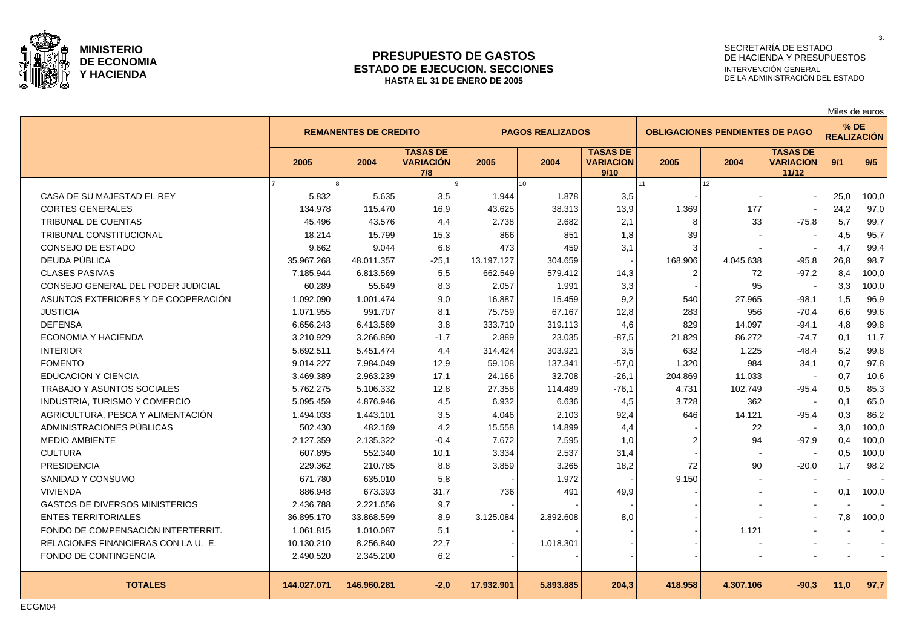

#### **PRESUPUESTO DE GASTOS ESTADO DE EJECUCION. SECCIONES HASTA EL 31 DE ENERO DE 2005**

# SECRETARÍA DE ESTADO DE HACIENDA Y PRESUPUESTOS INTERVENCIÓN GENERAL DE LA ADMINISTRACIÓN DEL ESTADO

Miles de euros

|                                       |             | <b>REMANENTES DE CREDITO</b> |                                            |            | <b>PAGOS REALIZADOS</b> |                                             | <b>OBLIGACIONES PENDIENTES DE PAGO</b> |           |                                              | $%$ DE<br><b>REALIZACIÓN</b> |       |  |
|---------------------------------------|-------------|------------------------------|--------------------------------------------|------------|-------------------------|---------------------------------------------|----------------------------------------|-----------|----------------------------------------------|------------------------------|-------|--|
|                                       | 2005        | 2004                         | <b>TASAS DE</b><br><b>VARIACIÓN</b><br>7/8 | 2005       | 2004                    | <b>TASAS DE</b><br><b>VARIACION</b><br>9/10 | 2005                                   | 2004      | <b>TASAS DE</b><br><b>VARIACION</b><br>11/12 | 9/1                          | 9/5   |  |
|                                       |             |                              |                                            |            | 10                      |                                             | 11                                     | 12        |                                              |                              |       |  |
| CASA DE SU MAJESTAD EL REY            | 5.832       | 5.635                        | 3,5                                        | 1.944      | 1.878                   | 3,5                                         |                                        |           |                                              | 25,0                         | 100,0 |  |
| <b>CORTES GENERALES</b>               | 134.978     | 115.470                      | 16,9                                       | 43.625     | 38.313                  | 13,9                                        | 1.369                                  | 177       |                                              | 24,2                         | 97,0  |  |
| TRIBUNAL DE CUENTAS                   | 45.496      | 43.576                       | 4,4                                        | 2.738      | 2.682                   | 2,1                                         | 8                                      | 33        | $-75,8$                                      | 5,7                          | 99,7  |  |
| <b>TRIBUNAL CONSTITUCIONAL</b>        | 18.214      | 15.799                       | 15,3                                       | 866        | 851                     | 1,8                                         | 39                                     |           |                                              | 4,5                          | 95,7  |  |
| CONSEJO DE ESTADO                     | 9.662       | 9.044                        | 6,8                                        | 473        | 459                     | 3,1                                         | 3                                      |           |                                              | 4,7                          | 99,4  |  |
| DEUDA PÚBLICA                         | 35.967.268  | 48.011.357                   | $-25,1$                                    | 13.197.127 | 304.659                 |                                             | 168.906                                | 4.045.638 | $-95,8$                                      | 26,8                         | 98,7  |  |
| <b>CLASES PASIVAS</b>                 | 7.185.944   | 6.813.569                    | 5,5                                        | 662.549    | 579.412                 | 14,3                                        | $\mathcal{P}$                          | 72        | $-97,2$                                      | 8.4                          | 100,0 |  |
| CONSEJO GENERAL DEL PODER JUDICIAL    | 60.289      | 55.649                       | 8,3                                        | 2.057      | 1.991                   | 3,3                                         |                                        | 95        |                                              | 3,3                          | 100,0 |  |
| ASUNTOS EXTERIORES Y DE COOPERACIÓN   | 1.092.090   | 1.001.474                    | 9,0                                        | 16.887     | 15.459                  | 9,2                                         | 540                                    | 27.965    | $-98,1$                                      | 1,5                          | 96,9  |  |
| <b>JUSTICIA</b>                       | 1.071.955   | 991.707                      | 8,1                                        | 75.759     | 67.167                  | 12,8                                        | 283                                    | 956       | $-70,4$                                      | 6,6                          | 99,6  |  |
| <b>DEFENSA</b>                        | 6.656.243   | 6.413.569                    | 3,8                                        | 333.710    | 319.113                 | 4,6                                         | 829                                    | 14.097    | $-94,1$                                      | 4,8                          | 99,8  |  |
| <b>ECONOMIA Y HACIENDA</b>            | 3.210.929   | 3.266.890                    | $-1,7$                                     | 2.889      | 23.035                  | $-87,5$                                     | 21.829                                 | 86.272    | $-74,7$                                      | 0,1                          | 11,7  |  |
| <b>INTERIOR</b>                       | 5.692.511   | 5.451.474                    | 4,4                                        | 314.424    | 303.921                 | 3,5                                         | 632                                    | 1.225     | $-48,4$                                      | 5,2                          | 99,8  |  |
| <b>FOMENTO</b>                        | 9.014.227   | 7.984.049                    | 12,9                                       | 59.108     | 137.341                 | $-57,0$                                     | 1.320                                  | 984       | 34,1                                         | 0,7                          | 97,8  |  |
| EDUCACION Y CIENCIA                   | 3.469.389   | 2.963.239                    | 17,1                                       | 24.166     | 32.708                  | $-26,1$                                     | 204.869                                | 11.033    |                                              | 0,7                          | 10,6  |  |
| <b>TRABAJO Y ASUNTOS SOCIALES</b>     | 5.762.275   | 5.106.332                    | 12,8                                       | 27.358     | 114.489                 | $-76,1$                                     | 4.731                                  | 102.749   | $-95,4$                                      | 0,5                          | 85,3  |  |
| INDUSTRIA, TURISMO Y COMERCIO         | 5.095.459   | 4.876.946                    | 4,5                                        | 6.932      | 6.636                   | 4,5                                         | 3.728                                  | 362       |                                              | 0,1                          | 65,0  |  |
| AGRICULTURA, PESCA Y ALIMENTACIÓN     | 1.494.033   | 1.443.101                    | 3,5                                        | 4.046      | 2.103                   | 92,4                                        | 646                                    | 14.121    | $-95,4$                                      | 0,3                          | 86,2  |  |
| ADMINISTRACIONES PÚBLICAS             | 502.430     | 482.169                      | 4,2                                        | 15.558     | 14.899                  | 4,4                                         |                                        | 22        |                                              | 3,0                          | 100,0 |  |
| <b>MEDIO AMBIENTE</b>                 | 2.127.359   | 2.135.322                    | $-0,4$                                     | 7.672      | 7.595                   | 1,0                                         | $\mathfrak{p}$                         | 94        | $-97,9$                                      | 0,4                          | 100,0 |  |
| <b>CULTURA</b>                        | 607.895     | 552.340                      | 10,1                                       | 3.334      | 2.537                   | 31,4                                        |                                        |           |                                              | 0,5                          | 100,0 |  |
| <b>PRESIDENCIA</b>                    | 229.362     | 210.785                      | 8,8                                        | 3.859      | 3.265                   | 18,2                                        | 72                                     | 90        | $-20,0$                                      | 1,7                          | 98,2  |  |
| SANIDAD Y CONSUMO                     | 671.780     | 635.010                      | 5,8                                        |            | 1.972                   |                                             | 9.150                                  |           |                                              |                              |       |  |
| <b>VIVIENDA</b>                       | 886.948     | 673.393                      | 31,7                                       | 736        | 491                     | 49,9                                        |                                        |           |                                              | 0,1                          | 100,0 |  |
| <b>GASTOS DE DIVERSOS MINISTERIOS</b> | 2.436.788   | 2.221.656                    | 9,7                                        |            |                         |                                             |                                        |           |                                              |                              |       |  |
| <b>ENTES TERRITORIALES</b>            | 36.895.170  | 33.868.599                   | 8,9                                        | 3.125.084  | 2.892.608               | 8,0                                         |                                        |           |                                              | 7,8                          | 100,0 |  |
| FONDO DE COMPENSACIÓN INTERTERRIT.    | 1.061.815   | 1.010.087                    | 5,1                                        |            |                         |                                             |                                        | 1.121     |                                              |                              |       |  |
| RELACIONES FINANCIERAS CON LA U. E.   | 10.130.210  | 8.256.840                    | 22,7                                       |            | 1.018.301               |                                             |                                        |           |                                              |                              |       |  |
| FONDO DE CONTINGENCIA                 | 2.490.520   | 2.345.200                    | 6,2                                        |            |                         |                                             |                                        |           |                                              |                              |       |  |
| <b>TOTALES</b>                        | 144.027.071 | 146.960.281                  | $-2,0$                                     | 17.932.901 | 5.893.885               | 204,3                                       | 418.958                                | 4.307.106 | $-90,3$                                      | 11,0                         | 97,7  |  |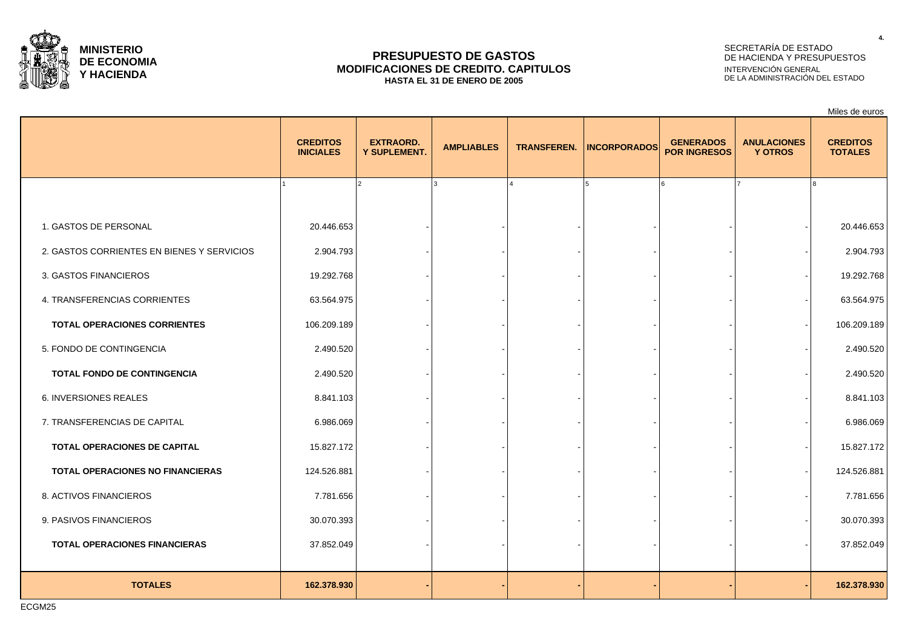

### **PRESUPUESTO DE GASTOS MODIFICACIONES DE CREDITO. CAPITULOS HASTA EL 31 DE ENERO DE 2005**

# SECRETARÍA DE ESTADO DE HACIENDA Y PRESUPUESTOS INTERVENCIÓN GENERAL DE LA ADMINISTRACIÓN DEL ESTADO

Miles de euros

|                                            | <b>CREDITOS</b><br><b>INICIALES</b> | <b>EXTRAORD.</b><br>Y SUPLEMENT. | <b>AMPLIABLES</b> | <b>TRANSFEREN.</b> | <b>INCORPORADOS</b> | <b>GENERADOS</b><br><b>POR INGRESOS</b> | <b>ANULACIONES</b><br><b>Y OTROS</b> | <b>CREDITOS</b><br><b>TOTALES</b> |
|--------------------------------------------|-------------------------------------|----------------------------------|-------------------|--------------------|---------------------|-----------------------------------------|--------------------------------------|-----------------------------------|
|                                            |                                     | 2                                |                   |                    | l 5                 | ۱ĥ                                      |                                      |                                   |
| 1. GASTOS DE PERSONAL                      | 20.446.653                          |                                  |                   |                    |                     |                                         |                                      | 20.446.653                        |
| 2. GASTOS CORRIENTES EN BIENES Y SERVICIOS | 2.904.793                           |                                  |                   |                    |                     |                                         |                                      | 2.904.793                         |
| 3. GASTOS FINANCIEROS                      | 19.292.768                          |                                  |                   |                    |                     |                                         |                                      | 19.292.768                        |
| 4. TRANSFERENCIAS CORRIENTES               | 63.564.975                          |                                  |                   |                    |                     |                                         |                                      | 63.564.975                        |
| <b>TOTAL OPERACIONES CORRIENTES</b>        | 106.209.189                         |                                  |                   |                    |                     |                                         |                                      | 106.209.189                       |
| 5. FONDO DE CONTINGENCIA                   | 2.490.520                           |                                  |                   |                    |                     |                                         |                                      | 2.490.520                         |
| TOTAL FONDO DE CONTINGENCIA                | 2.490.520                           |                                  |                   |                    |                     |                                         |                                      | 2.490.520                         |
| 6. INVERSIONES REALES                      | 8.841.103                           |                                  |                   |                    |                     |                                         |                                      | 8.841.103                         |
| 7. TRANSFERENCIAS DE CAPITAL               | 6.986.069                           |                                  |                   |                    |                     |                                         |                                      | 6.986.069                         |
| TOTAL OPERACIONES DE CAPITAL               | 15.827.172                          |                                  |                   |                    |                     |                                         |                                      | 15.827.172                        |
| TOTAL OPERACIONES NO FINANCIERAS           | 124.526.881                         |                                  |                   |                    |                     |                                         |                                      | 124.526.881                       |
| 8. ACTIVOS FINANCIEROS                     | 7.781.656                           |                                  |                   |                    |                     |                                         |                                      | 7.781.656                         |
| 9. PASIVOS FINANCIEROS                     | 30.070.393                          |                                  |                   |                    |                     |                                         |                                      | 30.070.393                        |
| <b>TOTAL OPERACIONES FINANCIERAS</b>       | 37.852.049                          |                                  |                   |                    |                     |                                         |                                      | 37.852.049                        |
|                                            |                                     |                                  |                   |                    |                     |                                         |                                      |                                   |
| <b>TOTALES</b>                             | 162.378.930                         |                                  |                   |                    |                     |                                         |                                      | 162.378.930                       |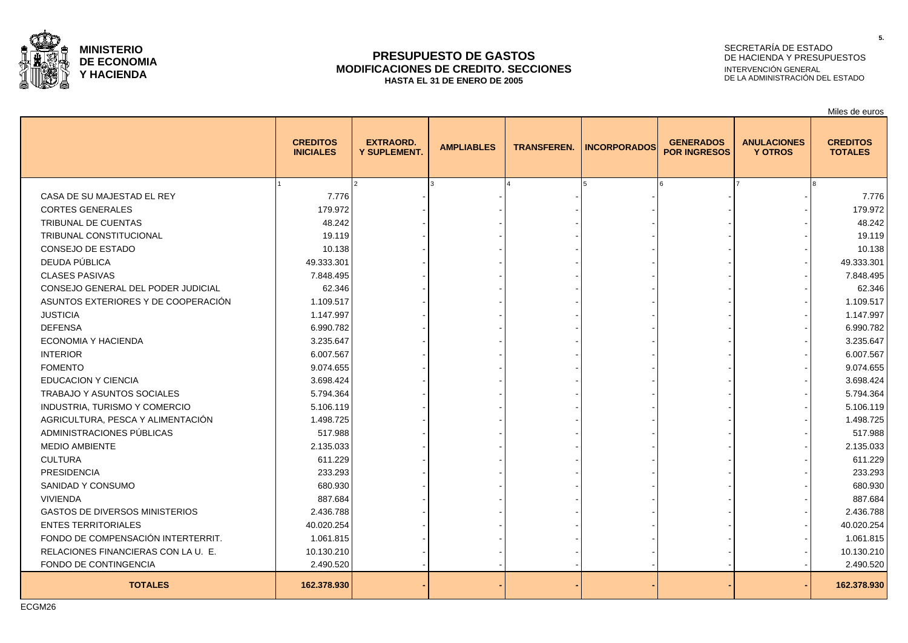

### **PRESUPUESTO DE GASTOS MODIFICACIONES DE CREDITO. SECCIONES HASTA EL 31 DE ENERO DE 2005**

# SECRETARÍA DE ESTADO DE HACIENDA Y PRESUPUESTOS INTERVENCIÓN GENERAL DE LA ADMINISTRACIÓN DEL ESTADO

Miles de euros

|                                       | <b>CREDITOS</b><br><b>INICIALES</b> | <b>EXTRAORD.</b><br>Y SUPLEMENT. | <b>AMPLIABLES</b> | <b>TRANSFEREN.</b> | <b>INCORPORADOS</b> | <b>GENERADOS</b><br><b>POR INGRESOS</b> | <b>ANULACIONES</b><br><b>Y OTROS</b> | <b>CREDITOS</b><br><b>TOTALES</b> |
|---------------------------------------|-------------------------------------|----------------------------------|-------------------|--------------------|---------------------|-----------------------------------------|--------------------------------------|-----------------------------------|
|                                       |                                     |                                  |                   |                    |                     | 6                                       |                                      |                                   |
| CASA DE SU MAJESTAD EL REY            | 7.776                               |                                  |                   |                    |                     |                                         |                                      | 7.776                             |
| <b>CORTES GENERALES</b>               | 179.972                             |                                  |                   |                    |                     |                                         |                                      | 179.972                           |
| TRIBUNAL DE CUENTAS                   | 48.242                              |                                  |                   |                    |                     |                                         |                                      | 48.242                            |
| TRIBUNAL CONSTITUCIONAL               | 19.119                              |                                  |                   |                    |                     |                                         |                                      | 19.119                            |
| CONSEJO DE ESTADO                     | 10.138                              |                                  |                   |                    |                     |                                         |                                      | 10.138                            |
| DEUDA PÚBLICA                         | 49.333.301                          |                                  |                   |                    |                     |                                         |                                      | 49.333.301                        |
| <b>CLASES PASIVAS</b>                 | 7.848.495                           |                                  |                   |                    |                     |                                         |                                      | 7.848.495                         |
| CONSEJO GENERAL DEL PODER JUDICIAL    | 62.346                              |                                  |                   |                    |                     |                                         |                                      | 62.346                            |
| ASUNTOS EXTERIORES Y DE COOPERACIÓN   | 1.109.517                           |                                  |                   |                    |                     |                                         |                                      | 1.109.517                         |
| <b>JUSTICIA</b>                       | 1.147.997                           |                                  |                   |                    |                     |                                         |                                      | 1.147.997                         |
| <b>DEFENSA</b>                        | 6.990.782                           |                                  |                   |                    |                     |                                         |                                      | 6.990.782                         |
| ECONOMIA Y HACIENDA                   | 3.235.647                           |                                  |                   |                    |                     |                                         |                                      | 3.235.647                         |
| <b>INTERIOR</b>                       | 6.007.567                           |                                  |                   |                    |                     |                                         |                                      | 6.007.567                         |
| <b>FOMENTO</b>                        | 9.074.655                           |                                  |                   |                    |                     |                                         |                                      | 9.074.655                         |
| <b>EDUCACION Y CIENCIA</b>            | 3.698.424                           |                                  |                   |                    |                     |                                         |                                      | 3.698.424                         |
| TRABAJO Y ASUNTOS SOCIALES            | 5.794.364                           |                                  |                   |                    |                     |                                         |                                      | 5.794.364                         |
| INDUSTRIA, TURISMO Y COMERCIO         | 5.106.119                           |                                  |                   |                    |                     |                                         |                                      | 5.106.119                         |
| AGRICULTURA, PESCA Y ALIMENTACIÓN     | 1.498.725                           |                                  |                   |                    |                     |                                         |                                      | 1.498.725                         |
| ADMINISTRACIONES PÚBLICAS             | 517.988                             |                                  |                   |                    |                     |                                         |                                      | 517.988                           |
| <b>MEDIO AMBIENTE</b>                 | 2.135.033                           |                                  |                   |                    |                     |                                         |                                      | 2.135.033                         |
| <b>CULTURA</b>                        | 611.229                             |                                  |                   |                    |                     |                                         |                                      | 611.229                           |
| <b>PRESIDENCIA</b>                    | 233.293                             |                                  |                   |                    |                     |                                         |                                      | 233.293                           |
| SANIDAD Y CONSUMO                     | 680.930                             |                                  |                   |                    |                     |                                         |                                      | 680.930                           |
| <b>VIVIENDA</b>                       | 887.684                             |                                  |                   |                    |                     |                                         |                                      | 887.684                           |
| <b>GASTOS DE DIVERSOS MINISTERIOS</b> | 2.436.788                           |                                  |                   |                    |                     |                                         |                                      | 2.436.788                         |
| <b>ENTES TERRITORIALES</b>            | 40.020.254                          |                                  |                   |                    |                     |                                         |                                      | 40.020.254                        |
| FONDO DE COMPENSACIÓN INTERTERRIT.    | 1.061.815                           |                                  |                   |                    |                     |                                         |                                      | 1.061.815                         |
| RELACIONES FINANCIERAS CON LA U. E.   | 10.130.210                          |                                  |                   |                    |                     |                                         |                                      | 10.130.210                        |
| FONDO DE CONTINGENCIA                 | 2.490.520                           |                                  |                   |                    |                     |                                         |                                      | 2.490.520                         |
| <b>TOTALES</b>                        | 162.378.930                         |                                  |                   |                    |                     |                                         |                                      | 162.378.930                       |